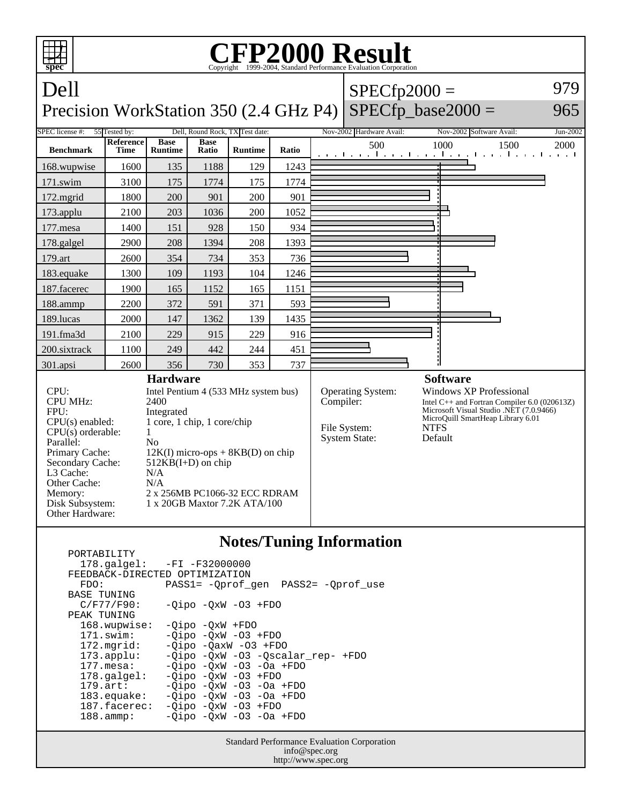

## **Notes/Tuning Information**

 PORTABILITY 178.galgel: -FI -F32000000 FEEDBACK-DIRECTED OPTIMIZATION<br>FDO: PASS1= -Oprof FDO: PASS1= -Qprof\_gen PASS2= -Qprof\_use BASE TUNING  $C/F77/F90: -Qipo -QxW -O3 + FDO$ PEAK TUNING<br>168.wupwise: 168.wupwise: -Qipo -QxW +FDO<br>171.swim: -Oipo -OxW -O3 -Qipo -QxW -O3 +FDO 172.mgrid: -Qipo -QaxW -O3 +FDO 173.applu: -Qipo -QxW -O3 -Qscalar\_rep- +FDO 177.mesa: -Qipo -QxW -O3 -Oa +FDO<br>178.galgel: -Qipo -QxW -O3 +FDO 178.galgel: - Qipo - QxW - 03 + FDO<br>179.art: - Oipo - OxW - 03 - Oa 179.art: - Qipo - QxW - 03 - 0a + FDO<br>183.equake: - Qipo - QxW - 03 - 0a + FDO  $-Qipo -QxW -O3 -Oa +FDO$  187.facerec: -Qipo -QxW -O3 +FDO 188.ammp: -Qipo -QxW -O3 -Oa +FDO

> Standard Performance Evaluation Corporation info@spec.org http://www.spec.org